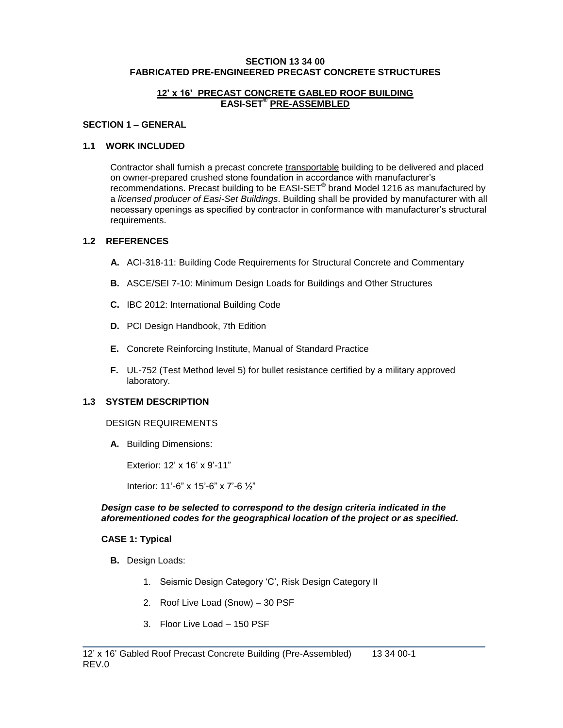#### **SECTION 13 34 00 FABRICATED PRE-ENGINEERED PRECAST CONCRETE STRUCTURES**

#### **12' x 16' PRECAST CONCRETE GABLED ROOF BUILDING EASI-SET® PRE-ASSEMBLED**

#### **SECTION 1 – GENERAL**

### **1.1 WORK INCLUDED**

Contractor shall furnish a precast concrete transportable building to be delivered and placed on owner-prepared crushed stone foundation in accordance with manufacturer's recommendations. Precast building to be EASI-SET**®** brand Model 1216 as manufactured by a *licensed producer of Easi-Set Buildings*. Building shall be provided by manufacturer with all necessary openings as specified by contractor in conformance with manufacturer's structural requirements.

## **1.2 REFERENCES**

- **A.** ACI-318-11: Building Code Requirements for Structural Concrete and Commentary
- **B.** ASCE/SEI 7-10: Minimum Design Loads for Buildings and Other Structures
- **C.** IBC 2012: International Building Code
- **D.** PCI Design Handbook, 7th Edition
- **E.** Concrete Reinforcing Institute, Manual of Standard Practice
- **F.** UL-752 (Test Method level 5) for bullet resistance certified by a military approved laboratory.

#### **1.3 SYSTEM DESCRIPTION**

#### DESIGN REQUIREMENTS

**A.** Building Dimensions:

Exterior: 12' x 16' x 9'-11"

Interior: 11'-6" x 15'-6" x 7'-6 ½"

#### *Design case to be selected to correspond to the design criteria indicated in the aforementioned codes for the geographical location of the project or as specified.*

\_\_\_\_\_\_\_\_\_\_\_\_\_\_\_\_\_\_\_\_\_\_\_\_\_\_\_\_\_\_\_\_\_\_\_\_\_\_\_\_\_\_\_\_\_\_\_\_\_\_\_\_\_\_\_\_\_\_\_\_\_\_\_\_\_\_\_\_\_\_\_\_\_

#### **CASE 1: Typical**

- **B.** Design Loads:
	- 1. Seismic Design Category 'C', Risk Design Category II
	- 2. Roof Live Load (Snow) 30 PSF
	- 3. Floor Live Load 150 PSF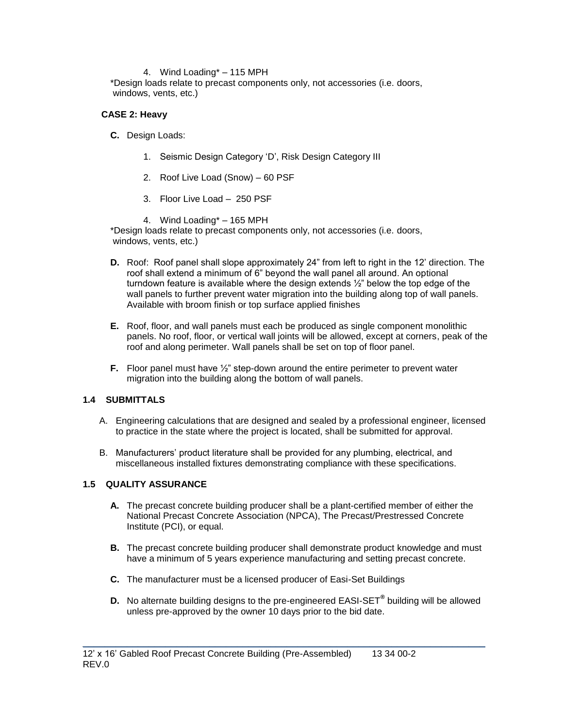#### 4. Wind Loading\* – 115 MPH

\*Design loads relate to precast components only, not accessories (i.e. doors, windows, vents, etc.)

### **CASE 2: Heavy**

- **C.** Design Loads:
	- 1. Seismic Design Category 'D', Risk Design Category III
	- 2. Roof Live Load (Snow) 60 PSF
	- 3. Floor Live Load 250 PSF
	- 4. Wind Loading\* 165 MPH

\*Design loads relate to precast components only, not accessories (i.e. doors, windows, vents, etc.)

- **D.** Roof: Roof panel shall slope approximately 24" from left to right in the 12' direction. The roof shall extend a minimum of 6" beyond the wall panel all around. An optional turndown feature is available where the design extends ½" below the top edge of the wall panels to further prevent water migration into the building along top of wall panels. Available with broom finish or top surface applied finishes
- **E.** Roof, floor, and wall panels must each be produced as single component monolithic panels. No roof, floor, or vertical wall joints will be allowed, except at corners, peak of the roof and along perimeter. Wall panels shall be set on top of floor panel.
- **F.** Floor panel must have  $\frac{1}{2}$ " step-down around the entire perimeter to prevent water migration into the building along the bottom of wall panels.

## **1.4 SUBMITTALS**

- A. Engineering calculations that are designed and sealed by a professional engineer, licensed to practice in the state where the project is located, shall be submitted for approval.
- B. Manufacturers' product literature shall be provided for any plumbing, electrical, and miscellaneous installed fixtures demonstrating compliance with these specifications.

#### **1.5 QUALITY ASSURANCE**

- **A.** The precast concrete building producer shall be a plant-certified member of either the National Precast Concrete Association (NPCA), The Precast/Prestressed Concrete Institute (PCI), or equal.
- **B.** The precast concrete building producer shall demonstrate product knowledge and must have a minimum of 5 years experience manufacturing and setting precast concrete.
- **C.** The manufacturer must be a licensed producer of Easi-Set Buildings
- **D.** No alternate building designs to the pre-engineered EASI-SET**®** building will be allowed unless pre-approved by the owner 10 days prior to the bid date.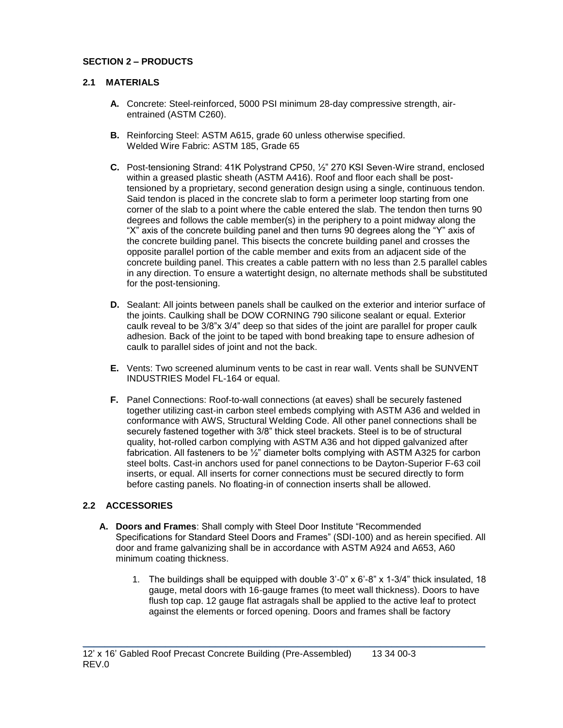# **SECTION 2 – PRODUCTS**

## **2.1 MATERIALS**

- **A.** Concrete: Steel-reinforced, 5000 PSI minimum 28-day compressive strength, airentrained (ASTM C260).
- **B.** Reinforcing Steel: ASTM A615, grade 60 unless otherwise specified. Welded Wire Fabric: ASTM 185, Grade 65
- **C.** Post-tensioning Strand: 41K Polystrand CP50, ½" 270 KSI Seven-Wire strand, enclosed within a greased plastic sheath (ASTM A416). Roof and floor each shall be posttensioned by a proprietary, second generation design using a single, continuous tendon. Said tendon is placed in the concrete slab to form a perimeter loop starting from one corner of the slab to a point where the cable entered the slab. The tendon then turns 90 degrees and follows the cable member(s) in the periphery to a point midway along the "X" axis of the concrete building panel and then turns 90 degrees along the "Y" axis of the concrete building panel. This bisects the concrete building panel and crosses the opposite parallel portion of the cable member and exits from an adjacent side of the concrete building panel. This creates a cable pattern with no less than 2.5 parallel cables in any direction. To ensure a watertight design, no alternate methods shall be substituted for the post-tensioning.
- **D.** Sealant: All joints between panels shall be caulked on the exterior and interior surface of the joints. Caulking shall be DOW CORNING 790 silicone sealant or equal. Exterior caulk reveal to be 3/8"x 3/4" deep so that sides of the joint are parallel for proper caulk adhesion. Back of the joint to be taped with bond breaking tape to ensure adhesion of caulk to parallel sides of joint and not the back.
- **E.** Vents: Two screened aluminum vents to be cast in rear wall. Vents shall be SUNVENT INDUSTRIES Model FL-164 or equal.
- **F.** Panel Connections: Roof-to-wall connections (at eaves) shall be securely fastened together utilizing cast-in carbon steel embeds complying with ASTM A36 and welded in conformance with AWS, Structural Welding Code. All other panel connections shall be securely fastened together with 3/8" thick steel brackets. Steel is to be of structural quality, hot-rolled carbon complying with ASTM A36 and hot dipped galvanized after fabrication. All fasteners to be ½" diameter bolts complying with ASTM A325 for carbon steel bolts. Cast-in anchors used for panel connections to be Dayton-Superior F-63 coil inserts, or equal. All inserts for corner connections must be secured directly to form before casting panels. No floating-in of connection inserts shall be allowed.

## **2.2 ACCESSORIES**

**A. Doors and Frames**: Shall comply with Steel Door Institute "Recommended Specifications for Standard Steel Doors and Frames" (SDI-100) and as herein specified. All door and frame galvanizing shall be in accordance with ASTM A924 and A653, A60 minimum coating thickness.

\_\_\_\_\_\_\_\_\_\_\_\_\_\_\_\_\_\_\_\_\_\_\_\_\_\_\_\_\_\_\_\_\_\_\_\_\_\_\_\_\_\_\_\_\_\_\_\_\_\_\_\_\_\_\_\_\_\_\_\_\_\_\_\_\_\_\_\_\_\_\_\_\_

1. The buildings shall be equipped with double 3'-0" x 6'-8" x 1-3/4" thick insulated, 18 gauge, metal doors with 16-gauge frames (to meet wall thickness). Doors to have flush top cap. 12 gauge flat astragals shall be applied to the active leaf to protect against the elements or forced opening. Doors and frames shall be factory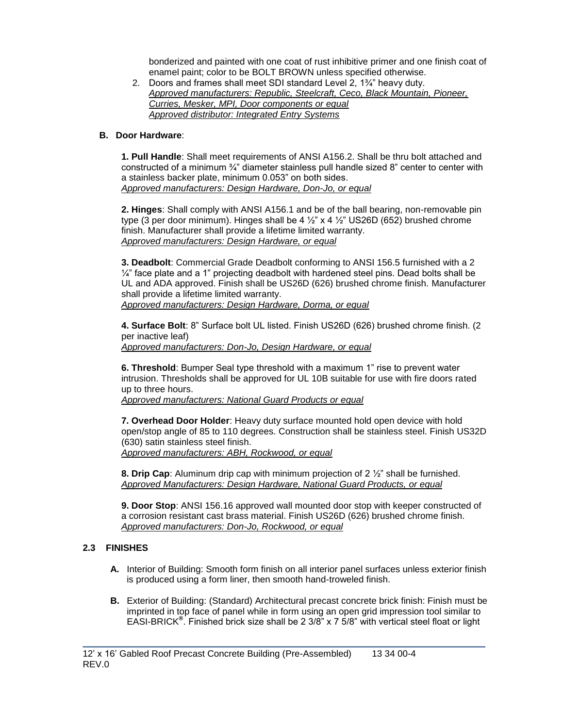bonderized and painted with one coat of rust inhibitive primer and one finish coat of enamel paint; color to be BOLT BROWN unless specified otherwise.

2. Doors and frames shall meet SDI standard Level 2, 1¾" heavy duty. *Approved manufacturers: Republic, Steelcraft, Ceco, Black Mountain, Pioneer, Curries, Mesker, MPI, Door components or equal Approved distributor: Integrated Entry Systems*

### **B. Door Hardware**:

**1. Pull Handle**: Shall meet requirements of ANSI A156.2. Shall be thru bolt attached and constructed of a minimum ¾" diameter stainless pull handle sized 8" center to center with a stainless backer plate, minimum 0.053" on both sides. *Approved manufacturers: Design Hardware, Don-Jo, or equal*

**2. Hinges**: Shall comply with ANSI A156.1 and be of the ball bearing, non-removable pin type (3 per door minimum). Hinges shall be  $4\frac{1}{2}$  x  $4\frac{1}{2}$  US26D (652) brushed chrome finish. Manufacturer shall provide a lifetime limited warranty. *Approved manufacturers: Design Hardware, or equal*

**3. Deadbolt**: Commercial Grade Deadbolt conforming to ANSI 156.5 furnished with a 2  $\frac{1}{4}$ " face plate and a 1" projecting deadbolt with hardened steel pins. Dead bolts shall be UL and ADA approved. Finish shall be US26D (626) brushed chrome finish. Manufacturer shall provide a lifetime limited warranty. *Approved manufacturers: Design Hardware, Dorma, or equal*

**4. Surface Bolt**: 8" Surface bolt UL listed. Finish US26D (626) brushed chrome finish. (2 per inactive leaf) *Approved manufacturers: Don-Jo, Design Hardware, or equal*

**6. Threshold**: Bumper Seal type threshold with a maximum 1" rise to prevent water intrusion. Thresholds shall be approved for UL 10B suitable for use with fire doors rated up to three hours.

*Approved manufacturers: National Guard Products or equal* 

**7. Overhead Door Holder**: Heavy duty surface mounted hold open device with hold open/stop angle of 85 to 110 degrees. Construction shall be stainless steel. Finish US32D (630) satin stainless steel finish. *Approved manufacturers: ABH, Rockwood, or equal*

**8. Drip Cap**: Aluminum drip cap with minimum projection of 2 ½" shall be furnished. *Approved Manufacturers: Design Hardware, National Guard Products, or equal*

**9. Door Stop**: ANSI 156.16 approved wall mounted door stop with keeper constructed of a corrosion resistant cast brass material. Finish US26D (626) brushed chrome finish. *Approved manufacturers: Don-Jo, Rockwood, or equal*

## **2.3 FINISHES**

- **A.** Interior of Building: Smooth form finish on all interior panel surfaces unless exterior finish is produced using a form liner, then smooth hand-troweled finish.
- **B.** Exterior of Building: (Standard) Architectural precast concrete brick finish: Finish must be imprinted in top face of panel while in form using an open grid impression tool similar to EASI-BRICK**®** . Finished brick size shall be 2 3/8" x 7 5/8" with vertical steel float or light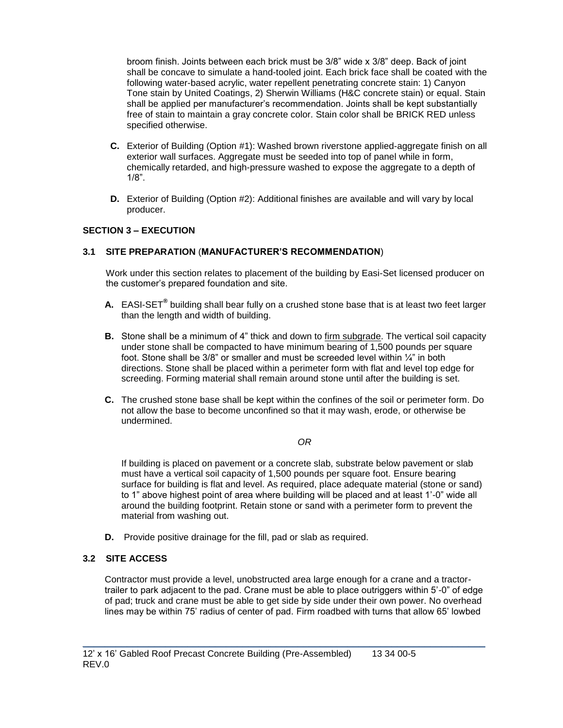broom finish. Joints between each brick must be 3/8" wide x 3/8" deep. Back of joint shall be concave to simulate a hand-tooled joint. Each brick face shall be coated with the following water-based acrylic, water repellent penetrating concrete stain: 1) Canyon Tone stain by United Coatings, 2) Sherwin Williams (H&C concrete stain) or equal. Stain shall be applied per manufacturer's recommendation. Joints shall be kept substantially free of stain to maintain a gray concrete color. Stain color shall be BRICK RED unless specified otherwise.

- **C.** Exterior of Building (Option #1): Washed brown riverstone applied-aggregate finish on all exterior wall surfaces. Aggregate must be seeded into top of panel while in form, chemically retarded, and high-pressure washed to expose the aggregate to a depth of 1/8".
- **D.** Exterior of Building (Option #2): Additional finishes are available and will vary by local producer.

## **SECTION 3 – EXECUTION**

### **3.1 SITE PREPARATION** (**MANUFACTURER'S RECOMMENDATION**)

Work under this section relates to placement of the building by Easi-Set licensed producer on the customer's prepared foundation and site.

- **A.** EASI-SET**®** building shall bear fully on a crushed stone base that is at least two feet larger than the length and width of building.
- **B.** Stone shall be a minimum of 4" thick and down to firm subgrade. The vertical soil capacity under stone shall be compacted to have minimum bearing of 1,500 pounds per square foot. Stone shall be  $3/8$ " or smaller and must be screeded level within  $\frac{1}{4}$ " in both directions. Stone shall be placed within a perimeter form with flat and level top edge for screeding. Forming material shall remain around stone until after the building is set.
- **C.** The crushed stone base shall be kept within the confines of the soil or perimeter form. Do not allow the base to become unconfined so that it may wash, erode, or otherwise be undermined.

#### *OR*

If building is placed on pavement or a concrete slab, substrate below pavement or slab must have a vertical soil capacity of 1,500 pounds per square foot. Ensure bearing surface for building is flat and level. As required, place adequate material (stone or sand) to 1" above highest point of area where building will be placed and at least 1'-0" wide all around the building footprint. Retain stone or sand with a perimeter form to prevent the material from washing out.

**D.** Provide positive drainage for the fill, pad or slab as required.

### **3.2 SITE ACCESS**

Contractor must provide a level, unobstructed area large enough for a crane and a tractortrailer to park adjacent to the pad. Crane must be able to place outriggers within 5'-0" of edge of pad; truck and crane must be able to get side by side under their own power. No overhead lines may be within 75' radius of center of pad. Firm roadbed with turns that allow 65' lowbed